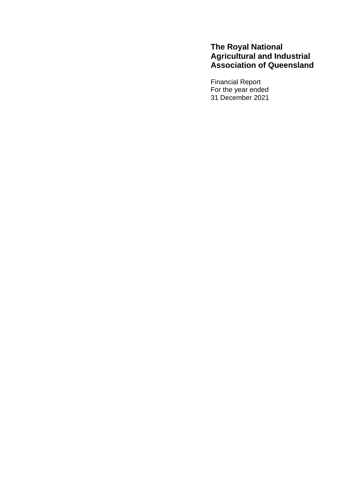# **The Royal National Agricultural and Industrial Association of Queensland**

Financial Report For the year ended 31 December 2021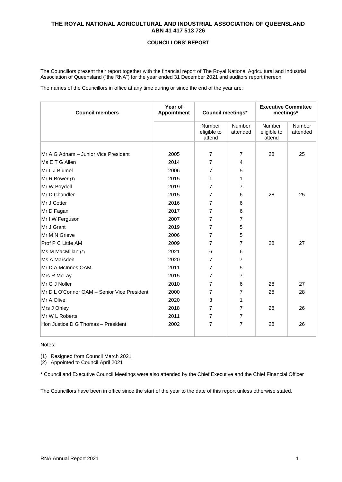## **COUNCILLORS' REPORT**

The Councillors present their report together with the financial report of The Royal National Agricultural and Industrial Association of Queensland ("the RNA") for the year ended 31 December 2021 and auditors report thereon.

The names of the Councillors in office at any time during or since the end of the year are:

| <b>Council members</b>                      | Year of<br>Appointment | <b>Council meetings*</b>        |                    | <b>Executive Committee</b><br>meetings* |                    |
|---------------------------------------------|------------------------|---------------------------------|--------------------|-----------------------------------------|--------------------|
|                                             |                        | Number<br>eligible to<br>attend | Number<br>attended | Number<br>eligible to<br>attend         | Number<br>attended |
| Mr A G Adnam - Junior Vice President        | 2005                   | $\overline{7}$                  | $\overline{7}$     | 28                                      | 25                 |
| Ms E T G Allen                              | 2014                   |                                 |                    |                                         |                    |
|                                             |                        | 7                               | 4                  |                                         |                    |
| Mr L J Blumel                               | 2006                   | 7                               | 5                  |                                         |                    |
| Mr R Bower (1)                              | 2015                   | 1                               | 1                  |                                         |                    |
| Mr W Boydell                                | 2019                   | 7                               | 7                  |                                         |                    |
| Mr D Chandler                               | 2015                   | 7                               | 6                  | 28                                      | 25                 |
| Mr J Cotter                                 | 2016                   | 7                               | 6                  |                                         |                    |
| Mr D Fagan                                  | 2017                   | 7                               | 6                  |                                         |                    |
| Mr I W Ferguson                             | 2007                   | 7                               | $\overline{7}$     |                                         |                    |
| Mr J Grant                                  | 2019                   | 7                               | 5                  |                                         |                    |
| Mr M N Grieve                               | 2006                   | 7                               | 5                  |                                         |                    |
| Prof P C Little AM                          | 2009                   | 7                               | 7                  | 28                                      | 27                 |
| Ms M MacMillan (2)                          | 2021                   | 6                               | 6                  |                                         |                    |
| Ms A Marsden                                | 2020                   | 7                               | 7                  |                                         |                    |
| Mr D A McInnes OAM                          | 2011                   | 7                               | 5                  |                                         |                    |
| Mrs R McLay                                 | 2015                   | 7                               | 7                  |                                         |                    |
| Mr G J Noller                               | 2010                   | 7                               | 6                  | 28                                      | 27                 |
| Mr D L O'Connor OAM - Senior Vice President | 2000                   | 7                               | 7                  | 28                                      | 28                 |
| Mr A Olive                                  | 2020                   | 3                               | 1                  |                                         |                    |
| Mrs J Onley                                 | 2018                   | 7                               | $\overline{7}$     | 28                                      | 26                 |
| Mr W L Roberts                              | 2011                   | $\overline{7}$                  | $\overline{7}$     |                                         |                    |
| Hon Justice D G Thomas - President          | 2002                   | 7                               | $\overline{7}$     | 28                                      | 26                 |
|                                             |                        |                                 |                    |                                         |                    |

Notes:

(1) Resigned from Council March 2021

(2) Appointed to Council April 2021

\* Council and Executive Council Meetings were also attended by the Chief Executive and the Chief Financial Officer

The Councillors have been in office since the start of the year to the date of this report unless otherwise stated.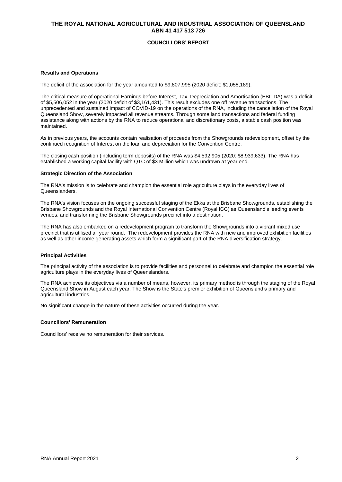## **COUNCILLORS' REPORT**

### **Results and Operations**

The deficit of the association for the year amounted to \$9,807,995 (2020 deficit: \$1,058,189).

The critical measure of operational Earnings before Interest, Tax, Depreciation and Amortisation (EBITDA) was a deficit of \$5,506,052 in the year (2020 deficit of \$3,161,431). This result excludes one off revenue transactions. The unprecedented and sustained impact of COVID-19 on the operations of the RNA, including the cancellation of the Royal Queensland Show, severely impacted all revenue streams. Through some land transactions and federal funding assistance along with actions by the RNA to reduce operational and discretionary costs, a stable cash position was maintained.

As in previous years, the accounts contain realisation of proceeds from the Showgrounds redevelopment, offset by the continued recognition of Interest on the loan and depreciation for the Convention Centre.

The closing cash position (including term deposits) of the RNA was \$4,592,905 (2020: \$8,939,633). The RNA has established a working capital facility with QTC of \$3 Million which was undrawn at year end.

#### **Strategic Direction of the Association**

The RNA's mission is to celebrate and champion the essential role agriculture plays in the everyday lives of Queenslanders.

The RNA's vision focuses on the ongoing successful staging of the Ekka at the Brisbane Showgrounds, establishing the Brisbane Showgrounds and the Royal International Convention Centre (Royal ICC) as Queensland's leading events venues, and transforming the Brisbane Showgrounds precinct into a destination.

The RNA has also embarked on a redevelopment program to transform the Showgrounds into a vibrant mixed use precinct that is utilised all year round. The redevelopment provides the RNA with new and improved exhibition facilities as well as other income generating assets which form a significant part of the RNA diversification strategy.

#### **Principal Activities**

The principal activity of the association is to provide facilities and personnel to celebrate and champion the essential role agriculture plays in the everyday lives of Queenslanders.

The RNA achieves its objectives via a number of means, however, its primary method is through the staging of the Royal Queensland Show in August each year. The Show is the State's premier exhibition of Queensland's primary and agricultural industries.

No significant change in the nature of these activities occurred during the year.

#### **Councillors' Remuneration**

Councillors' receive no remuneration for their services.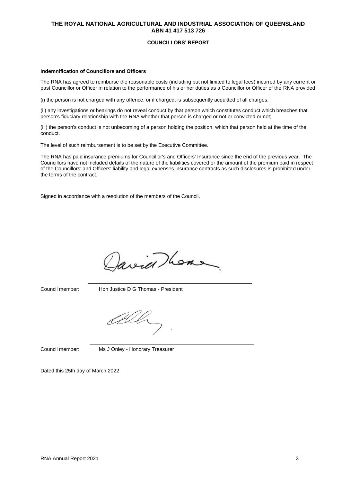#### **COUNCILLORS' REPORT**

#### **Indemnification of Councillors and Officers**

The RNA has agreed to reimburse the reasonable costs (including but not limited to legal fees) incurred by any current or past Councillor or Officer in relation to the performance of his or her duties as a Councillor or Officer of the RNA provided:

(i) the person is not charged with any offence, or if charged, is subsequently acquitted of all charges;

(ii) any investigations or hearings do not reveal conduct by that person which constitutes conduct which breaches that person's fiduciary relationship with the RNA whether that person is charged or not or convicted or not;

(iii) the person's conduct is not unbecoming of a person holding the position, which that person held at the time of the conduct.

The level of such reimbursement is to be set by the Executive Committee.

The RNA has paid insurance premiums for Councillor's and Officers' Insurance since the end of the previous year. The Councillors have not included details of the nature of the liabilities covered or the amount of the premium paid in respect of the Councillors' and Officers' liability and legal expenses insurance contracts as such disclosures is prohibited under the terms of the contract.

Signed in accordance with a resolution of the members of the Council.

avier home

Council member: Hon Justice D G Thomas - President

Council member: Ms J Onley - Honorary Treasurer

Dated this 25th day of March 2022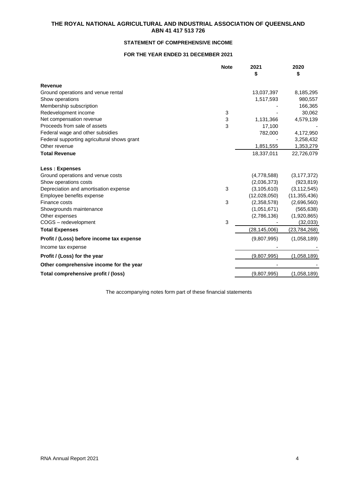## **STATEMENT OF COMPREHENSIVE INCOME**

## **FOR THE YEAR ENDED 31 DECEMBER 2021**

| <b>Note</b>                                 | 2021           | 2020           |
|---------------------------------------------|----------------|----------------|
|                                             |                | \$             |
| <b>Revenue</b>                              |                |                |
| Ground operations and venue rental          | 13,037,397     | 8,185,295      |
| Show operations                             | 1,517,593      | 980,557        |
| Membership subscription                     |                | 166,365        |
| Redevelopment income<br>3                   |                | 30,062         |
| Net compensation revenue<br>3               | 1,131,366      | 4,579,139      |
| 3<br>Proceeds from sale of assets           | 17,100         |                |
| Federal wage and other subsidies            | 782,000        | 4,172,950      |
| Federal supporting agricultural shows grant |                | 3,258,432      |
| Other revenue                               | 1,851,555      | 1,353,279      |
| <b>Total Revenue</b>                        | 18,337,011     | 22,726,079     |
| Less: Expenses                              |                |                |
| Ground operations and venue costs           | (4,778,588)    | (3, 177, 372)  |
| Show operations costs                       | (2,036,373)    | (923, 819)     |
| Depreciation and amortisation expense<br>3  | (3, 105, 610)  | (3, 112, 545)  |
| Employee benefits expense                   | (12,028,050)   | (11, 355, 436) |
| 3<br>Finance costs                          | (2,358,578)    | (2,696,560)    |
| Showgrounds maintenance                     | (1,051,671)    | (565, 638)     |
| Other expenses                              | (2,786,136)    | (1,920,865)    |
| 3<br>COGS - redevelopment                   |                | (32,033)       |
| <b>Total Expenses</b>                       | (28, 145, 006) | (23, 784, 268) |
| Profit / (Loss) before income tax expense   | (9,807,995)    | (1,058,189)    |
| Income tax expense                          |                |                |
| Profit / (Loss) for the year                | (9,807,995)    | (1,058,189)    |
| Other comprehensive income for the year     |                |                |
| Total comprehensive profit / (loss)         | (9,807,995)    | (1,058,189)    |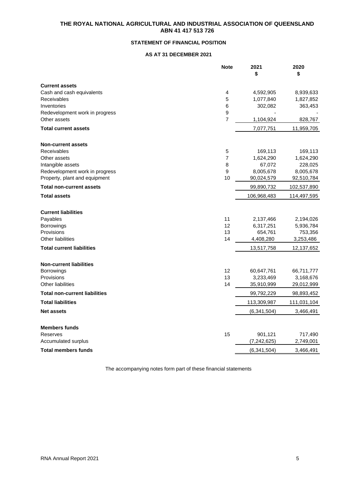## **STATEMENT OF FINANCIAL POSITION**

## **AS AT 31 DECEMBER 2021**

|                                                                  | <b>Note</b>    | 2021<br>\$    | 2020<br>\$  |
|------------------------------------------------------------------|----------------|---------------|-------------|
| <b>Current assets</b>                                            |                |               |             |
| Cash and cash equivalents                                        | 4              | 4,592,905     | 8,939,633   |
| Receivables                                                      | 5              | 1,077,840     | 1,827,852   |
| Inventories                                                      | 6              | 302,082       | 363,453     |
| Redevelopment work in progress                                   | 9              |               |             |
| Other assets                                                     | $\overline{7}$ | 1,104,924     | 828,767     |
| <b>Total current assets</b>                                      |                | 7,077,751     | 11,959,705  |
| <b>Non-current assets</b>                                        |                |               |             |
| Receivables                                                      | 5              | 169,113       | 169,113     |
| Other assets                                                     | $\overline{7}$ | 1,624,290     | 1,624,290   |
| Intangible assets                                                | 8              | 67,072        | 228,025     |
| Redevelopment work in progress                                   | 9              | 8,005,678     | 8,005,678   |
| Property, plant and equipment<br><b>Total non-current assets</b> | 10             | 90,024,579    | 92,510,784  |
|                                                                  |                | 99,890,732    | 102,537,890 |
| <b>Total assets</b>                                              |                | 106,968,483   | 114,497,595 |
| <b>Current liabilities</b>                                       |                |               |             |
| Payables                                                         | 11             | 2,137,466     | 2,194,026   |
| Borrowings                                                       | 12             | 6,317,251     | 5,936,784   |
| Provisions<br><b>Other liabilities</b>                           | 13<br>14       | 654,761       | 753,356     |
|                                                                  |                | 4,408,280     | 3,253,486   |
| <b>Total current liabilities</b>                                 |                | 13,517,758    | 12,137,652  |
| <b>Non-current liabilities</b>                                   |                |               |             |
| Borrowings                                                       | 12             | 60,647,761    | 66,711,777  |
| Provisions                                                       | 13             | 3,233,469     | 3,168,676   |
| Other liabilities                                                | 14             | 35,910,999    | 29,012,999  |
| <b>Total non-current liabilities</b>                             |                | 99,792,229    | 98,893,452  |
| <b>Total liabilities</b>                                         |                | 113,309,987   | 111,031,104 |
| <b>Net assets</b>                                                |                | (6, 341, 504) | 3,466,491   |
| <b>Members funds</b>                                             |                |               |             |
| Reserves                                                         | 15             | 901,121       | 717,490     |
| Accumulated surplus                                              |                | (7, 242, 625) | 2,749,001   |
| <b>Total members funds</b>                                       |                | (6, 341, 504) | 3,466,491   |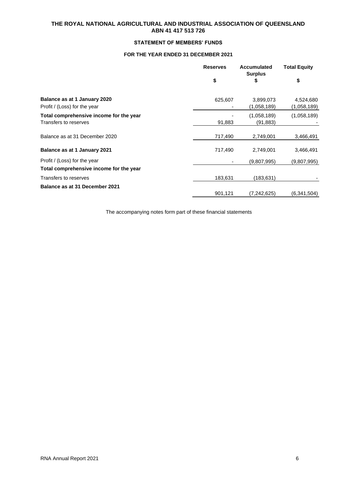## **STATEMENT OF MEMBERS' FUNDS**

## **FOR THE YEAR ENDED 31 DECEMBER 2021**

|                                                                  | <b>Reserves</b> | <b>Accumulated</b>       |                          | <b>Surplus</b> | <b>Total Equity</b> |
|------------------------------------------------------------------|-----------------|--------------------------|--------------------------|----------------|---------------------|
|                                                                  | \$              | \$                       | \$                       |                |                     |
| Balance as at 1 January 2020<br>Profit / (Loss) for the year     | 625,607         | 3,899,073<br>(1,058,189) | 4,524,680<br>(1,058,189) |                |                     |
| Total comprehensive income for the year<br>Transfers to reserves | 91,883          | (1,058,189)<br>(91,883)  | (1,058,189)              |                |                     |
| Balance as at 31 December 2020                                   | 717,490         | 2,749,001                | 3,466,491                |                |                     |
| Balance as at 1 January 2021                                     | 717,490         | 2,749,001                | 3,466,491                |                |                     |
| Profit / (Loss) for the year                                     | ۰               | (9,807,995)              | (9,807,995)              |                |                     |
| Total comprehensive income for the year                          |                 |                          |                          |                |                     |
| Transfers to reserves                                            | 183,631         | (183,631)                |                          |                |                     |
| Balance as at 31 December 2021                                   | 901,121         | (7, 242, 625)            | (6,341,504)              |                |                     |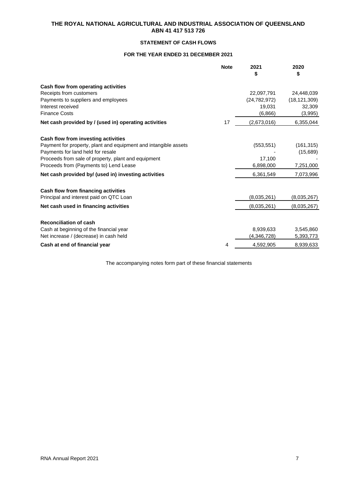## **STATEMENT OF CASH FLOWS**

## **FOR THE YEAR ENDED 31 DECEMBER 2021**

|                                                                 | <b>Note</b> | 2021<br>\$     | 2020<br>\$     |
|-----------------------------------------------------------------|-------------|----------------|----------------|
| Cash flow from operating activities                             |             |                |                |
| Receipts from customers                                         |             | 22,097,791     | 24,448,039     |
| Payments to suppliers and employees                             |             | (24, 782, 972) | (18, 121, 309) |
| Interest received                                               |             | 19,031         | 32,309         |
| <b>Finance Costs</b>                                            |             | (6.866)        | (3,995)        |
| Net cash provided by / (used in) operating activities           | 17          | (2,673,016)    | 6,355,044      |
| Cash flow from investing activities                             |             |                |                |
| Payment for property, plant and equipment and intangible assets |             | (553, 551)     | (161, 315)     |
| Payments for land held for resale                               |             |                | (15,689)       |
| Proceeds from sale of property, plant and equipment             |             | 17.100         |                |
| Proceeds from (Payments to) Lend Lease                          |             | 6,898,000      | 7,251,000      |
| Net cash provided by/ (used in) investing activities            |             | 6,361,549      | 7,073,996      |
| Cash flow from financing activities                             |             |                |                |
| Principal and interest paid on QTC Loan                         |             | (8,035,261)    | (8,035,267)    |
| Net cash used in financing activities                           |             | (8,035,261)    | (8,035,267)    |
| <b>Reconciliation of cash</b>                                   |             |                |                |
| Cash at beginning of the financial year                         |             | 8,939,633      | 3,545,860      |
| Net increase / (decrease) in cash held                          |             | (4,346,728)    | 5,393,773      |
| Cash at end of financial year                                   | 4           | 4,592,905      | 8,939,633      |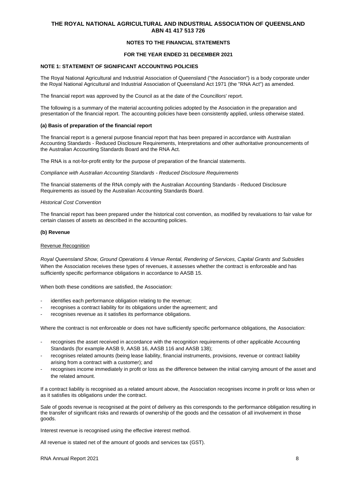### **NOTES TO THE FINANCIAL STATEMENTS**

### **FOR THE YEAR ENDED 31 DECEMBER 2021**

### **NOTE 1: STATEMENT OF SIGNIFICANT ACCOUNTING POLICIES**

The Royal National Agricultural and Industrial Association of Queensland ("the Association") is a body corporate under the Royal National Agricultural and Industrial Association of Queensland Act 1971 (the "RNA Act") as amended.

The financial report was approved by the Council as at the date of the Councillors' report.

The following is a summary of the material accounting policies adopted by the Association in the preparation and presentation of the financial report. The accounting policies have been consistently applied, unless otherwise stated.

#### **(a) Basis of preparation of the financial report**

The financial report is a general purpose financial report that has been prepared in accordance with Australian Accounting Standards - Reduced Disclosure Requirements, Interpretations and other authoritative pronouncements of the Australian Accounting Standards Board and the RNA Act.

The RNA is a not-for-profit entity for the purpose of preparation of the financial statements.

*Compliance with Australian Accounting Standards - Reduced Disclosure Requirements*

The financial statements of the RNA comply with the Australian Accounting Standards - Reduced Disclosure Requirements as issued by the Australian Accounting Standards Board.

#### *Historical Cost Convention*

The financial report has been prepared under the historical cost convention, as modified by revaluations to fair value for certain classes of assets as described in the accounting policies.

#### **(b) Revenue**

#### Revenue Recognition

*Royal Queensland Show, Ground Operations & Venue Rental, Rendering of Services, Capital Grants and Subsidies* When the Association receives these types of revenues, it assesses whether the contract is enforceable and has sufficiently specific performance obligations in accordance to AASB 15.

When both these conditions are satisfied, the Association:

- identifies each performance obligation relating to the revenue;
- recognises a contract liability for its obligations under the agreement; and
- recognises revenue as it satisfies its performance obligations.

Where the contract is not enforceable or does not have sufficiently specific performance obligations, the Association:

- recognises the asset received in accordance with the recognition requirements of other applicable Accounting Standards (for example AASB 9, AASB 16, AASB 116 and AASB 138);
- recognises related amounts (being lease liability, financial instruments, provisions, revenue or contract liability arising from a contract with a customer); and
- recognises income immediately in profit or loss as the difference between the initial carrying amount of the asset and the related amount.

If a contract liability is recognised as a related amount above, the Association recognises income in profit or loss when or as it satisfies its obligations under the contract.

Sale of goods revenue is recognised at the point of delivery as this corresponds to the performance obligation resulting in the transfer of significant risks and rewards of ownership of the goods and the cessation of all involvement in those goods.

Interest revenue is recognised using the effective interest method.

All revenue is stated net of the amount of goods and services tax (GST).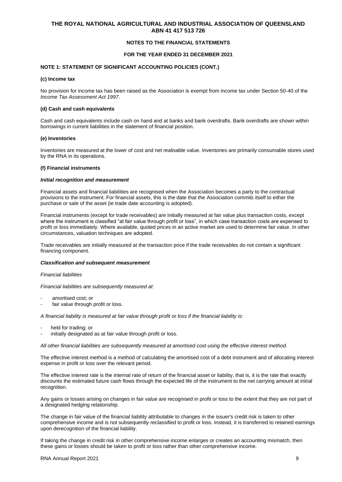### **NOTES TO THE FINANCIAL STATEMENTS**

### **FOR THE YEAR ENDED 31 DECEMBER 2021**

#### **NOTE 1: STATEMENT OF SIGNIFICANT ACCOUNTING POLICIES (CONT.)**

#### **(c) Income tax**

No provision for income tax has been raised as the Association is exempt from income tax under Section 50-40 of the *Income Tax Assessment Act 1997*.

#### **(d) Cash and cash equivalents**

Cash and cash equivalents include cash on hand and at banks and bank overdrafts. Bank overdrafts are shown within borrowings in current liabilities in the statement of financial position.

#### **(e) Inventories**

Inventories are measured at the lower of cost and net realisable value. Inventories are primarily consumable stores used by the RNA in its operations.

#### **(f) Financial instruments**

#### *Initial recognition and measurement*

Financial assets and financial liabilities are recognised when the Association becomes a party to the contractual provisions to the instrument. For financial assets, this is the date that the Association commits itself to either the purchase or sale of the asset (ie trade date accounting is adopted).

Financial instruments (except for trade receivables) are initially measured at fair value plus transaction costs, except where the instrument is classified "at fair value through profit or loss", in which case transaction costs are expensed to profit or loss immediately. Where available, quoted prices in an active market are used to determine fair value. In other circumstances, valuation techniques are adopted.

Trade receivables are initially measured at the transaction price if the trade receivables do not contain a significant financing component.

#### *Classification and subsequent measurement*

#### *Financial liabilities*

*Financial liabilities are subsequently measured at:*

- amortised cost; or
- fair value through profit or loss.

*A financial liability is measured at fair value through profit or loss if the financial liability is:*

- held for trading; or
- initially designated as at fair value through profit or loss.

*All other financial liabilities are subsequently measured at amortised cost using the effective interest method.*

The effective interest method is a method of calculating the amortised cost of a debt instrument and of allocating interest expense in profit or loss over the relevant period.

The effective interest rate is the internal rate of return of the financial asset or liability, that is, it is the rate that exactly discounts the estimated future cash flows through the expected life of the instrument to the net carrying amount at initial recognition.

Any gains or losses arising on changes in fair value are recognised in profit or loss to the extent that they are not part of a designated hedging relationship*.*

The change in fair value of the financial liability attributable to changes in the issuer's credit risk is taken to other comprehensive income and is not subsequently reclassified to profit or loss. Instead, it is transferred to retained earnings upon derecognition of the financial liability.

If taking the change in credit risk in other comprehensive income enlarges or creates an accounting mismatch, then these gains or losses should be taken to profit or loss rather than other comprehensive income.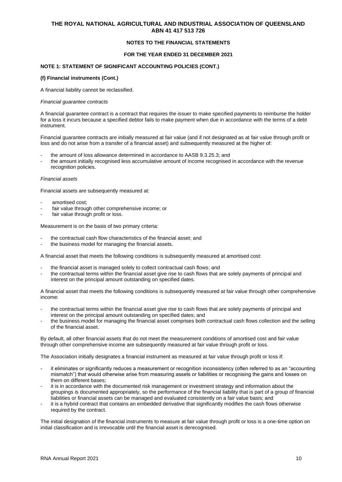### **NOTES TO THE FINANCIAL STATEMENTS**

### **FOR THE YEAR ENDED 31 DECEMBER 2021**

### **NOTE 1: STATEMENT OF SIGNIFICANT ACCOUNTING POLICIES (CONT.)**

#### **(f) Financial instruments (Cont.)**

A financial liability cannot be reclassified.

#### *Financial guarantee contracts*

A financial guarantee contract is a contract that requires the issuer to make specified payments to reimburse the holder for a loss it incurs because a specified debtor fails to make payment when due in accordance with the terms of a debt instrument.

Financial guarantee contracts are initially measured at fair value (and if not designated as at fair value through profit or loss and do not arise from a transfer of a financial asset) and subsequently measured at the higher of:

- the amount of loss allowance determined in accordance to AASB 9.3.25.3; and
- the amount initially recognised less accumulative amount of income recognised in accordance with the revenue recognition policies.

#### *Financial assets*

Financial assets are subsequently measured at:

- amortised cost;
- fair value through other comprehensive income; or
- fair value through profit or loss.

Measurement is on the basis of two primary criteria:

- the contractual cash flow characteristics of the financial asset; and
- the business model for managing the financial assets.

A financial asset that meets the following conditions is subsequently measured at amortised cost:

- the financial asset is managed solely to collect contractual cash flows; and
- the contractual terms within the financial asset give rise to cash flows that are solely payments of principal and interest on the principal amount outstanding on specified dates.

A financial asset that meets the following conditions is subsequently measured at fair value through other comprehensive income:

- the contractual terms within the financial asset give rise to cash flows that are solely payments of principal and interest on the principal amount outstanding on specified dates; and
- the business model for managing the financial asset comprises both contractual cash flows collection and the selling of the financial asset.

By default, all other financial assets that do not meet the measurement conditions of amortised cost and fair value through other comprehensive income are subsequently measured at fair value through profit or loss.

The Association initially designates a financial instrument as measured at fair value through profit or loss if:

- it eliminates or significantly reduces a measurement or recognition inconsistency (often referred to as an "accounting mismatch") that would otherwise arise from measuring assets or liabilities or recognising the gains and losses on them on different bases;
- it is in accordance with the documented risk management or investment strategy and information about the groupings is documented appropriately, so the performance of the financial liability that is part of a group of financial liabilities or financial assets can be managed and evaluated consistently on a fair value basis; and
- it is a hybrid contract that contains an embedded derivative that significantly modifies the cash flows otherwise required by the contract.

The initial designation of the financial instruments to measure at fair value through profit or loss is a one-time option on initial classification and is irrevocable until the financial asset is derecognised.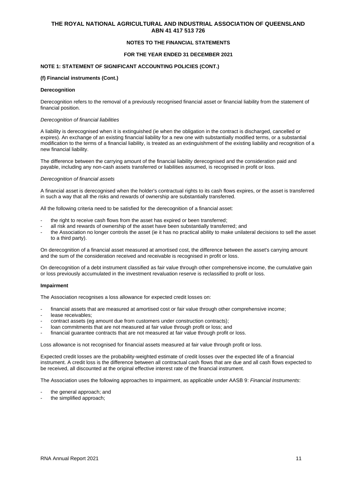### **NOTES TO THE FINANCIAL STATEMENTS**

### **FOR THE YEAR ENDED 31 DECEMBER 2021**

### **NOTE 1: STATEMENT OF SIGNIFICANT ACCOUNTING POLICIES (CONT.)**

#### **(f) Financial instruments (Cont.)**

#### **Derecognition**

Derecognition refers to the removal of a previously recognised financial asset or financial liability from the statement of financial position.

#### *Derecognition of financial liabilities*

A liability is derecognised when it is extinguished (ie when the obligation in the contract is discharged, cancelled or expires). An exchange of an existing financial liability for a new one with substantially modified terms, or a substantial modification to the terms of a financial liability, is treated as an extinguishment of the existing liability and recognition of a new financial liability.

The difference between the carrying amount of the financial liability derecognised and the consideration paid and payable, including any non-cash assets transferred or liabilities assumed, is recognised in profit or loss.

#### *Derecognition of financial assets*

A financial asset is derecognised when the holder's contractual rights to its cash flows expires, or the asset is transferred in such a way that all the risks and rewards of ownership are substantially transferred.

All the following criteria need to be satisfied for the derecognition of a financial asset:

- the right to receive cash flows from the asset has expired or been transferred:
- all risk and rewards of ownership of the asset have been substantially transferred; and
- the Association no longer controls the asset (ie it has no practical ability to make unilateral decisions to sell the asset to a third party).

On derecognition of a financial asset measured at amortised cost, the difference between the asset's carrying amount and the sum of the consideration received and receivable is recognised in profit or loss.

On derecognition of a debt instrument classified as fair value through other comprehensive income, the cumulative gain or loss previously accumulated in the investment revaluation reserve is reclassified to profit or loss.

#### **Impairment**

The Association recognises a loss allowance for expected credit losses on:

- financial assets that are measured at amortised cost or fair value through other comprehensive income;
- lease receivables:
- contract assets (eg amount due from customers under construction contracts);
- loan commitments that are not measured at fair value through profit or loss; and
- financial guarantee contracts that are not measured at fair value through profit or loss.

Loss allowance is not recognised for financial assets measured at fair value through profit or loss.

Expected credit losses are the probability-weighted estimate of credit losses over the expected life of a financial instrument. A credit loss is the difference between all contractual cash flows that are due and all cash flows expected to be received, all discounted at the original effective interest rate of the financial instrument.

The Association uses the following approaches to impairment, as applicable under AASB 9: *Financial Instruments*:

- the general approach; and
- the simplified approach;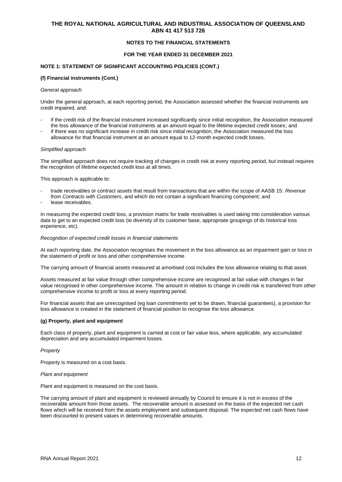### **NOTES TO THE FINANCIAL STATEMENTS**

### **FOR THE YEAR ENDED 31 DECEMBER 2021**

### **NOTE 1: STATEMENT OF SIGNIFICANT ACCOUNTING POLICIES (CONT.)**

#### **(f) Financial instruments (Cont.)**

#### *General approach*

Under the general approach, at each reporting period, the Association assessed whether the financial instruments are credit impaired, and:

- if the credit risk of the financial instrument increased significantly since initial recognition, the Association measured the loss allowance of the financial instruments at an amount equal to the lifetime expected credit losses; and
- if there was no significant increase in credit risk since initial recognition, the Association measured the loss allowance for that financial instrument at an amount equal to 12-month expected credit losses.

#### *Simplified approach*

The simplified approach does not require tracking of changes in credit risk at every reporting period, but instead requires the recognition of lifetime expected credit loss at all times.

This approach is applicable to:

- trade receivables or contract assets that result from transactions that are within the scope of AASB 15: *Revenue from Contracts with Customers*, and which do not contain a significant financing component; and
- lease receivables.

In measuring the expected credit loss, a provision matrix for trade receivables is used taking into consideration various data to get to an expected credit loss (ie diversity of its customer base, appropriate groupings of its historical loss experience, etc).

### *Recognition of expected credit losses in financial statements*

At each reporting date, the Association recognises the movement in the loss allowance as an impairment gain or loss in the statement of profit or loss and other comprehensive income.

The carrying amount of financial assets measured at amortised cost includes the loss allowance relating to that asset.

Assets measured at fair value through other comprehensive income are recognised at fair value with changes in fair value recognised in other comprehensive income. The amount in relation to change in credit risk is transferred from other comprehensive income to profit or loss at every reporting period.

For financial assets that are unrecognised (eg loan commitments yet to be drawn, financial guarantees), a provision for loss allowance is created in the statement of financial position to recognise the loss allowance.

#### **(g) Property, plant and equipment**

Each class of property, plant and equipment is carried at cost or fair value less, where applicable, any accumulated depreciation and any accumulated impairment losses.

#### *Property*

Property is measured on a cost basis.

#### *Plant and equipment*

Plant and equipment is measured on the cost basis.

The carrying amount of plant and equipment is reviewed annually by Council to ensure it is not in excess of the recoverable amount from those assets. The recoverable amount is assessed on the basis of the expected net cash flows which will be received from the assets employment and subsequent disposal. The expected net cash flows have been discounted to present values in determining recoverable amounts.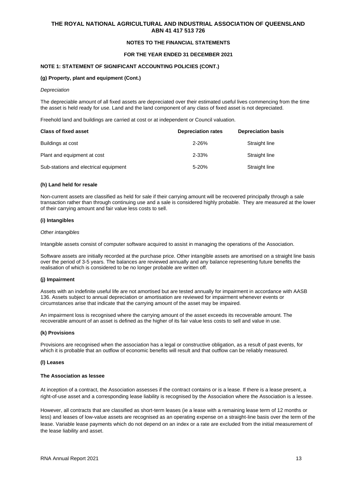### **NOTES TO THE FINANCIAL STATEMENTS**

### **FOR THE YEAR ENDED 31 DECEMBER 2021**

#### **NOTE 1: STATEMENT OF SIGNIFICANT ACCOUNTING POLICIES (CONT.)**

### **(g) Property, plant and equipment (Cont.)**

#### *Depreciation*

The depreciable amount of all fixed assets are depreciated over their estimated useful lives commencing from the time the asset is held ready for use. Land and the land component of any class of fixed asset is not depreciated.

Freehold land and buildings are carried at cost or at independent or Council valuation.

| <b>Class of fixed asset</b>           | <b>Depreciation rates</b> | <b>Depreciation basis</b> |
|---------------------------------------|---------------------------|---------------------------|
| Buildings at cost                     | $2 - 26%$                 | Straight line             |
| Plant and equipment at cost           | $2 - 33%$                 | Straight line             |
| Sub-stations and electrical equipment | $5 - 20%$                 | Straight line             |

#### **(h) Land held for resale**

Non-current assets are classified as held for sale if their carrying amount will be recovered principally through a sale transaction rather than through continuing use and a sale is considered highly probable. They are measured at the lower of their carrying amount and fair value less costs to sell.

#### **(i) Intangibles**

#### *Other intangibles*

Intangible assets consist of computer software acquired to assist in managing the operations of the Association.

Software assets are initially recorded at the purchase price. Other intangible assets are amortised on a straight line basis over the period of 3-5 years. The balances are reviewed annually and any balance representing future benefits the realisation of which is considered to be no longer probable are written off.

#### **(j) Impairment**

Assets with an indefinite useful life are not amortised but are tested annually for impairment in accordance with AASB 136. Assets subject to annual depreciation or amortisation are reviewed for impairment whenever events or circumstances arise that indicate that the carrying amount of the asset may be impaired.

An impairment loss is recognised where the carrying amount of the asset exceeds its recoverable amount. The recoverable amount of an asset is defined as the higher of its fair value less costs to sell and value in use.

#### **(k) Provisions**

Provisions are recognised when the association has a legal or constructive obligation, as a result of past events, for which it is probable that an outflow of economic benefits will result and that outflow can be reliably measured.

#### **(l) Leases**

#### **The Association as lessee**

At inception of a contract, the Association assesses if the contract contains or is a lease. If there is a lease present, a right-of-use asset and a corresponding lease liability is recognised by the Association where the Association is a lessee.

However, all contracts that are classified as short-term leases (ie a lease with a remaining lease term of 12 months or less) and leases of low-value assets are recognised as an operating expense on a straight-line basis over the term of the lease. Variable lease payments which do not depend on an index or a rate are excluded from the initial measurement of the lease liability and asset.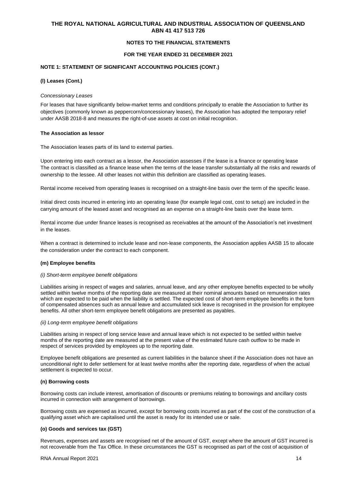### **NOTES TO THE FINANCIAL STATEMENTS**

### **FOR THE YEAR ENDED 31 DECEMBER 2021**

### **NOTE 1: STATEMENT OF SIGNIFICANT ACCOUNTING POLICIES (CONT.)**

#### **(l) Leases (Cont.)**

#### *Concessionary Leases*

For leases that have significantly below-market terms and conditions principally to enable the Association to further its objectives (commonly known as peppercorn/concessionary leases), the Association has adopted the temporary relief under AASB 2018-8 and measures the right-of-use assets at cost on initial recognition.

#### **The Association as lessor**

The Association leases parts of its land to external parties.

Upon entering into each contract as a lessor, the Association assesses if the lease is a finance or operating lease The contract is classified as a finance lease when the terms of the lease transfer substantially all the risks and rewards of ownership to the lessee. All other leases not within this definition are classified as operating leases.

Rental income received from operating leases is recognised on a straight-line basis over the term of the specific lease.

Initial direct costs incurred in entering into an operating lease (for example legal cost, cost to setup) are included in the carrying amount of the leased asset and recognised as an expense on a straight-line basis over the lease term.

Rental income due under finance leases is recognised as receivables at the amount of the Association's net investment in the leases.

When a contract is determined to include lease and non-lease components, the Association applies AASB 15 to allocate the consideration under the contract to each component.

#### **(m) Employee benefits**

#### *(i) Short-term employee benefit obligations*

Liabilities arising in respect of wages and salaries, annual leave, and any other employee benefits expected to be wholly settled within twelve months of the reporting date are measured at their nominal amounts based on remuneration rates which are expected to be paid when the liability is settled. The expected cost of short-term employee benefits in the form of compensated absences such as annual leave and accumulated sick leave is recognised in the provision for employee benefits. All other short-term employee benefit obligations are presented as payables.

#### *(ii) Long-term employee benefit obligations*

Liabilities arising in respect of long service leave and annual leave which is not expected to be settled within twelve months of the reporting date are measured at the present value of the estimated future cash outflow to be made in respect of services provided by employees up to the reporting date.

Employee benefit obligations are presented as current liabilities in the balance sheet if the Association does not have an unconditional right to defer settlement for at least twelve months after the reporting date, regardless of when the actual settlement is expected to occur.

#### **(n) Borrowing costs**

Borrowing costs can include interest, amortisation of discounts or premiums relating to borrowings and ancillary costs incurred in connection with arrangement of borrowings.

Borrowing costs are expensed as incurred, except for borrowing costs incurred as part of the cost of the construction of a qualifying asset which are capitalised until the asset is ready for its intended use or sale.

#### **(o) Goods and services tax (GST)**

Revenues, expenses and assets are recognised net of the amount of GST, except where the amount of GST incurred is not recoverable from the Tax Office. In these circumstances the GST is recognised as part of the cost of acquisition of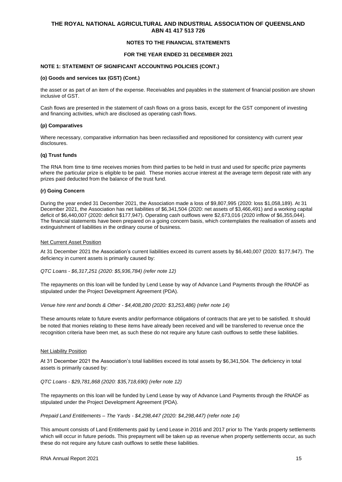### **NOTES TO THE FINANCIAL STATEMENTS**

### **FOR THE YEAR ENDED 31 DECEMBER 2021**

#### **NOTE 1: STATEMENT OF SIGNIFICANT ACCOUNTING POLICIES (CONT.)**

#### **(o) Goods and services tax (GST) (Cont.)**

the asset or as part of an item of the expense. Receivables and payables in the statement of financial position are shown inclusive of GST.

Cash flows are presented in the statement of cash flows on a gross basis, except for the GST component of investing and financing activities, which are disclosed as operating cash flows.

### **(p) Comparatives**

Where necessary, comparative information has been reclassified and repositioned for consistency with current year disclosures.

#### **(q) Trust funds**

The RNA from time to time receives monies from third parties to be held in trust and used for specific prize payments where the particular prize is eligible to be paid. These monies accrue interest at the average term deposit rate with any prizes paid deducted from the balance of the trust fund.

#### **(r) Going Concern**

During the year ended 31 December 2021, the Association made a loss of \$9,807,995 (2020: loss \$1,058,189). At 31 December 2021, the Association has net liabilities of \$6,341,504 (2020: net assets of \$3,466,491) and a working capital deficit of \$6,440,007 (2020: deficit \$177,947). Operating cash outflows were \$2,673,016 (2020 inflow of \$6,355,044). The financial statements have been prepared on a going concern basis, which contemplates the realisation of assets and extinguishment of liabilities in the ordinary course of business.

#### Net Current Asset Position

At 31 December 2021 the Association's current liabilities exceed its current assets by \$6,440,007 (2020: \$177,947). The deficiency in current assets is primarily caused by:

*QTC Loans - \$6,317,251 (2020: \$5,936,784) (refer note 12)*

The repayments on this loan will be funded by Lend Lease by way of Advance Land Payments through the RNADF as stipulated under the Project Development Agreement (PDA).

*Venue hire rent and bonds & Other - \$4,408,280 (2020: \$3,253,486) (refer note 14)*

These amounts relate to future events and/or performance obligations of contracts that are yet to be satisfied. It should be noted that monies relating to these items have already been received and will be transferred to revenue once the recognition criteria have been met, as such these do not require any future cash outflows to settle these liabilities.

#### **Net Liability Position**

At 31 December 2021 the Association's total liabilities exceed its total assets by \$6,341,504. The deficiency in total assets is primarily caused by:

*QTC Loans - \$29,781,868 (2020: \$35,718,690) (refer note 12)*

The repayments on this loan will be funded by Lend Lease by way of Advance Land Payments through the RNADF as stipulated under the Project Development Agreement (PDA).

*Prepaid Land Entitlements – The Yards - \$4,298,447 (2020: \$4,298,447) (refer note 14)*

This amount consists of Land Entitlements paid by Lend Lease in 2016 and 2017 prior to The Yards property settlements which will occur in future periods. This prepayment will be taken up as revenue when property settlements occur, as such these do not require any future cash outflows to settle these liabilities.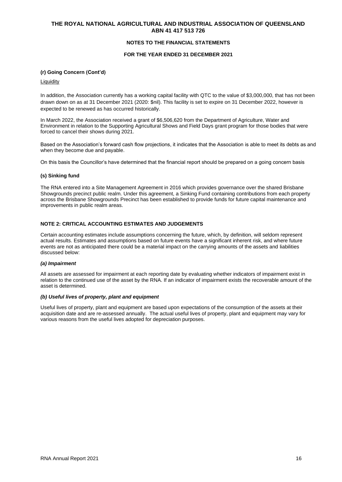### **NOTES TO THE FINANCIAL STATEMENTS**

### **FOR THE YEAR ENDED 31 DECEMBER 2021**

### **(r) Going Concern (Cont'd)**

### **Liquidity**

In addition, the Association currently has a working capital facility with QTC to the value of \$3,000,000, that has not been drawn down on as at 31 December 2021 (2020: \$nil). This facility is set to expire on 31 December 2022, however is expected to be renewed as has occurred historically.

In March 2022, the Association received a grant of \$6,506,620 from the Department of Agriculture, Water and Environment in relation to the Supporting Agricultural Shows and Field Days grant program for those bodies that were forced to cancel their shows during 2021.

Based on the Association's forward cash flow projections, it indicates that the Association is able to meet its debts as and when they become due and payable.

On this basis the Councillor's have determined that the financial report should be prepared on a going concern basis

### **(s) Sinking fund**

The RNA entered into a Site Management Agreement in 2016 which provides governance over the shared Brisbane Showgrounds precinct public realm. Under this agreement, a Sinking Fund containing contributions from each property across the Brisbane Showgrounds Precinct has been established to provide funds for future capital maintenance and improvements in public realm areas.

### **NOTE 2: CRITICAL ACCOUNTING ESTIMATES AND JUDGEMENTS**

Certain accounting estimates include assumptions concerning the future, which, by definition, will seldom represent actual results. Estimates and assumptions based on future events have a significant inherent risk, and where future events are not as anticipated there could be a material impact on the carrying amounts of the assets and liabilities discussed below:

#### *(a) Impairment*

All assets are assessed for impairment at each reporting date by evaluating whether indicators of impairment exist in relation to the continued use of the asset by the RNA. If an indicator of impairment exists the recoverable amount of the asset is determined.

#### *(b) Useful lives of property, plant and equipment*

Useful lives of property, plant and equipment are based upon expectations of the consumption of the assets at their acquisition date and are re-assessed annually. The actual useful lives of property, plant and equipment may vary for various reasons from the useful lives adopted for depreciation purposes.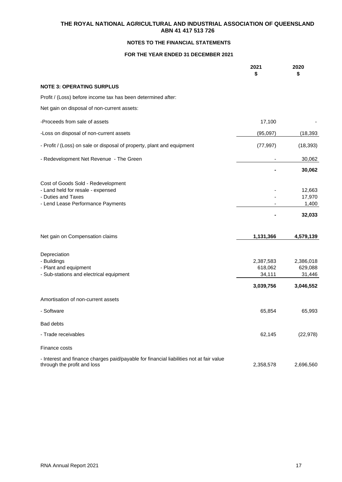## **NOTES TO THE FINANCIAL STATEMENTS**

## **FOR THE YEAR ENDED 31 DECEMBER 2021**

|                                                                                                                                    | 2021<br>\$                                  | 2020<br>\$                                  |
|------------------------------------------------------------------------------------------------------------------------------------|---------------------------------------------|---------------------------------------------|
| <b>NOTE 3: OPERATING SURPLUS</b>                                                                                                   |                                             |                                             |
| Profit / (Loss) before income tax has been determined after:                                                                       |                                             |                                             |
| Net gain on disposal of non-current assets:                                                                                        |                                             |                                             |
| -Proceeds from sale of assets                                                                                                      | 17,100                                      |                                             |
| -Loss on disposal of non-current assets                                                                                            | (95,097)                                    | (18, 393)                                   |
| - Profit / (Loss) on sale or disposal of property, plant and equipment                                                             | (77, 997)                                   | (18, 393)                                   |
| - Redevelopment Net Revenue - The Green                                                                                            |                                             | 30,062                                      |
|                                                                                                                                    |                                             | 30,062                                      |
| Cost of Goods Sold - Redevelopment<br>- Land held for resale - expensed<br>- Duties and Taxes<br>- Lend Lease Performance Payments |                                             | 12,663<br>17,970<br>1,400<br>32,033         |
| Net gain on Compensation claims                                                                                                    | 1,131,366                                   | 4,579,139                                   |
| Depreciation<br>- Buildings<br>- Plant and equipment<br>- Sub-stations and electrical equipment                                    | 2,387,583<br>618,062<br>34,111<br>3,039,756 | 2,386,018<br>629,088<br>31,446<br>3,046,552 |
| Amortisation of non-current assets                                                                                                 |                                             |                                             |
| - Software                                                                                                                         | 65,854                                      | 65,993                                      |
| Bad debts                                                                                                                          |                                             |                                             |
| - Trade receivables                                                                                                                | 62,145                                      | (22, 978)                                   |
| Finance costs                                                                                                                      |                                             |                                             |
| - Interest and finance charges paid/payable for financial liabilities not at fair value<br>through the profit and loss             | 2,358,578                                   | 2,696,560                                   |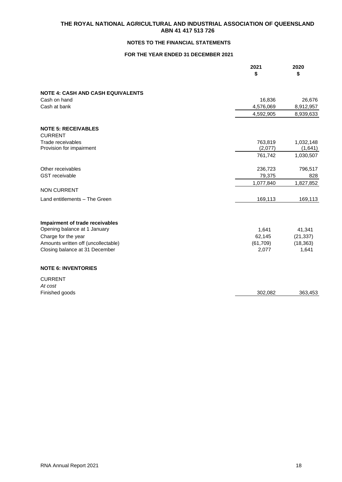## **NOTES TO THE FINANCIAL STATEMENTS**

## **FOR THE YEAR ENDED 31 DECEMBER 2021**

|                                                                 | 2021<br>\$ | 2020<br>\$ |
|-----------------------------------------------------------------|------------|------------|
| <b>NOTE 4: CASH AND CASH EQUIVALENTS</b>                        |            |            |
| Cash on hand                                                    | 16,836     | 26,676     |
| Cash at bank                                                    | 4,576,069  | 8,912,957  |
|                                                                 | 4,592,905  | 8,939,633  |
| <b>NOTE 5: RECEIVABLES</b>                                      |            |            |
| <b>CURRENT</b>                                                  |            |            |
| Trade receivables                                               | 763,819    | 1,032,148  |
| Provision for impairment                                        | (2,077)    | (1,641)    |
|                                                                 | 761,742    | 1,030,507  |
| Other receivables                                               | 236,723    | 796,517    |
| <b>GST</b> receivable                                           | 79,375     | 828        |
|                                                                 | 1,077,840  | 1,827,852  |
| <b>NON CURRENT</b>                                              |            |            |
| Land entitlements - The Green                                   | 169,113    | 169,113    |
|                                                                 |            |            |
| Impairment of trade receivables<br>Opening balance at 1 January | 1,641      | 41,341     |
| Charge for the year                                             | 62,145     | (21, 337)  |
| Amounts written off (uncollectable)                             | (61, 709)  | (18, 363)  |
| Closing balance at 31 December                                  | 2,077      | 1,641      |
|                                                                 |            |            |
| <b>NOTE 6: INVENTORIES</b>                                      |            |            |
| <b>CURRENT</b>                                                  |            |            |
| At cost                                                         |            |            |
| Finished goods                                                  | 302,082    | 363,453    |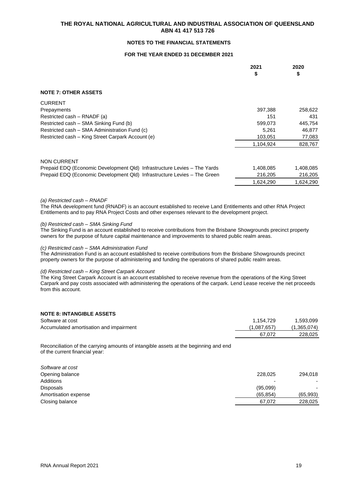## **NOTES TO THE FINANCIAL STATEMENTS**

## **FOR THE YEAR ENDED 31 DECEMBER 2021**

|                                                                          | 2021<br>\$ | 2020<br>\$ |
|--------------------------------------------------------------------------|------------|------------|
| <b>NOTE 7: OTHER ASSETS</b>                                              |            |            |
| <b>CURRENT</b>                                                           |            |            |
| Prepayments                                                              | 397,388    | 258,622    |
| Restricted cash – RNADF (a)                                              | 151        | 431        |
| Restricted cash – SMA Sinking Fund (b)                                   | 599,073    | 445,754    |
| Restricted cash – SMA Administration Fund (c)                            | 5,261      | 46,877     |
| Restricted cash - King Street Carpark Account (e)                        | 103,051    | 77,083     |
|                                                                          | 1,104,924  | 828,767    |
| <b>NON CURRENT</b>                                                       |            |            |
| Prepaid EDQ (Economic Development Qld) Infrastructure Levies - The Yards | 1,408,085  | 1,408,085  |
| Prepaid EDQ (Economic Development Qld) Infrastructure Levies - The Green | 216,205    | 216,205    |
|                                                                          | 1,624,290  | 1,624,290  |

#### *(a) Restricted cash – RNADF*

The RNA development fund (RNADF) is an account established to receive Land Entitlements and other RNA Project Entitlements and to pay RNA Project Costs and other expenses relevant to the development project.

#### *(b) Restricted cash – SMA Sinking Fund*

The Sinking Fund is an account established to receive contributions from the Brisbane Showgrounds precinct property owners for the purpose of future capital maintenance and improvements to shared public realm areas.

### *(c) Restricted cash – SMA Administration Fund*

The Administration Fund is an account established to receive contributions from the Brisbane Showgrounds precinct property owners for the purpose of administering and funding the operations of shared public realm areas.

#### *(d) Restricted cash – King Street Carpark Account*

The King Street Carpark Account is an account established to receive revenue from the operations of the King Street Carpark and pay costs associated with administering the operations of the carpark. Lend Lease receive the net proceeds from this account.

| <b>NOTE 8: INTANGIBLE ASSETS</b>        |             |             |
|-----------------------------------------|-------------|-------------|
| Software at cost                        | 1.154.729   | 1,593,099   |
| Accumulated amortisation and impairment | (1,087,657) | (1,365,074) |
|                                         | 67.072      | 228,025     |
|                                         |             |             |

Reconciliation of the carrying amounts of intangible assets at the beginning and end of the current financial year:

| Software at cost     |           |          |
|----------------------|-----------|----------|
| Opening balance      | 228,025   | 294,018  |
| Additions            | -         |          |
| <b>Disposals</b>     | (95,099)  |          |
| Amortisation expense | (65, 854) | (65,993) |
| Closing balance      | 67.072    | 228,025  |
|                      |           |          |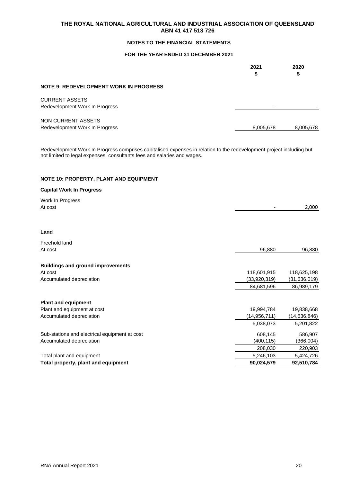## **NOTES TO THE FINANCIAL STATEMENTS**

## **FOR THE YEAR ENDED 31 DECEMBER 2021**

|                                                         | 2021<br>\$ | 2020<br>จ |
|---------------------------------------------------------|------------|-----------|
| <b>NOTE 9: REDEVELOPMENT WORK IN PROGRESS</b>           |            |           |
| <b>CURRENT ASSETS</b><br>Redevelopment Work In Progress |            |           |
| NON CURRENT ASSETS<br>Redevelopment Work In Progress    | 8,005,678  | 8,005,678 |

Redevelopment Work In Progress comprises capitalised expenses in relation to the redevelopment project including but not limited to legal expenses, consultants fees and salaries and wages.

## **NOTE 10: PROPERTY, PLANT AND EQUIPMENT**

### **Capital Work In Progress**

| Work In Progress<br>At cost                         |                | 2,000          |
|-----------------------------------------------------|----------------|----------------|
|                                                     |                |                |
| Land                                                |                |                |
| Freehold land                                       |                |                |
| At cost                                             | 96,880         | 96,880         |
|                                                     |                |                |
| <b>Buildings and ground improvements</b><br>At cost | 118,601,915    | 118,625,198    |
| Accumulated depreciation                            | (33,920,319)   | (31, 636, 019) |
|                                                     | 84,681,596     | 86,989,179     |
|                                                     |                |                |
| <b>Plant and equipment</b>                          |                |                |
| Plant and equipment at cost                         | 19,994,784     | 19,838,668     |
| Accumulated depreciation                            | (14, 956, 711) | (14,636,846)   |
|                                                     | 5,038,073      | 5,201,822      |
| Sub-stations and electrical equipment at cost       | 608,145        | 586,907        |
| Accumulated depreciation                            | (400, 115)     | (366,004)      |
|                                                     | 208,030        | 220,903        |
| Total plant and equipment                           | 5,246,103      | 5,424,726      |
| Total property, plant and equipment                 | 90,024,579     | 92,510,784     |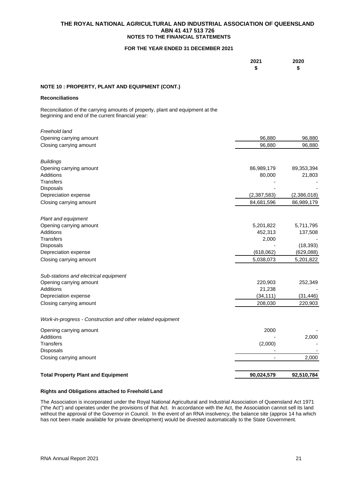### **THE ROYAL NATIONAL AGRICULTURAL AND INDUSTRIAL ASSOCIATION OF QUEENSLAND ABN 41 417 513 726 NOTES TO THE FINANCIAL STATEMENTS**

### **FOR THE YEAR ENDED 31 DECEMBER 2021**

| 2021 | 2020 |
|------|------|
| \$   | \$   |

## **NOTE 10 : PROPERTY, PLANT AND EQUIPMENT (CONT.)**

### **Reconciliations**

Reconciliation of the carrying amounts of property, plant and equipment at the beginning and end of the current financial year:

### **Rights and Obligations attached to Freehold Land**

The Association is incorporated under the Royal National Agricultural and Industrial Association of Queensland Act 1971 ("the Act") and operates under the provisions of that Act. In accordance with the Act, the Association cannot sell its land without the approval of the Governor in Council. In the event of an RNA insolvency, the balance site (approx 14 ha which has not been made available for private development) would be divested automatically to the State Government.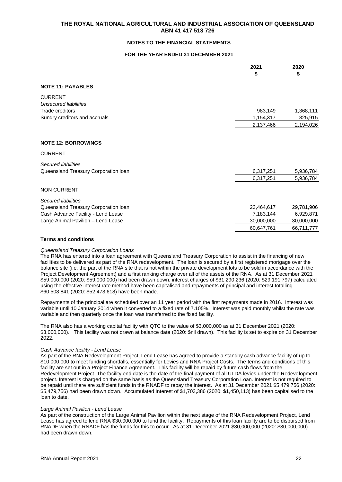### **NOTES TO THE FINANCIAL STATEMENTS**

### **FOR THE YEAR ENDED 31 DECEMBER 2021**

|                                                | 2021<br>\$ | 2020<br>\$ |
|------------------------------------------------|------------|------------|
| <b>NOTE 11: PAYABLES</b>                       |            |            |
| <b>CURRENT</b><br><b>Unsecured liabilities</b> |            |            |
| Trade creditors                                | 983,149    | 1,368,111  |
| Sundry creditors and accruals                  | 1,154,317  | 825,915    |
|                                                | 2,137,466  | 2,194,026  |
|                                                |            |            |
| <b>NOTE 12: BORROWINGS</b>                     |            |            |
| <b>CURRENT</b>                                 |            |            |
| Secured liabilities                            |            |            |
| Queensland Treasury Corporation loan           | 6,317,251  | 5,936,784  |
|                                                | 6,317,251  | 5,936,784  |
| <b>NON CURRENT</b>                             |            |            |
| Secured liabilities                            |            |            |
| Queensland Treasury Corporation loan           | 23,464,617 | 29,781,906 |
| Cash Advance Facility - Lend Lease             | 7,183,144  | 6,929,871  |
| Large Animal Pavilion - Lend Lease             | 30,000,000 | 30,000,000 |
|                                                | 60,647,761 | 66,711,777 |

### **Terms and conditions**

### *Queensland Treasury Corporation Loans*

The RNA has entered into a loan agreement with Queensland Treasury Corporation to assist in the financing of new facilities to be delivered as part of the RNA redevelopment. The loan is secured by a first registered mortgage over the balance site (i.e. the part of the RNA site that is not within the private development lots to be sold in accordance with the Project Development Agreement) and a first ranking charge over all of the assets of the RNA. As at 31 December 2021 \$59,000,000 (2020: \$59,000,000) had been drawn down, interest charges of \$31,290,236 (2020: \$29,191,797) calculated using the effective interest rate method have been capitalised and repayments of principal and interest totalling \$60,508,841 (2020: \$52,473,618) have been made.

Repayments of the principal are scheduled over an 11 year period with the first repayments made in 2016. Interest was variable until 10 January 2014 when it converted to a fixed rate of 7.105%. Interest was paid monthly whilst the rate was variable and then quarterly once the loan was transferred to the fixed facility.

The RNA also has a working capital facility with QTC to the value of \$3,000,000 as at 31 December 2021 (2020: \$3,000,000). This facility was not drawn at balance date (2020: \$nil drawn). This facility is set to expire on 31 December 2022.

#### *Cash Advance facility - Lend Lease*

As part of the RNA Redevelopment Project, Lend Lease has agreed to provide a standby cash advance facility of up to \$10,000,000 to meet funding shortfalls, essentially for Levies and RNA Project Costs. The terms and conditions of this facility are set out in a Project Finance Agreement. This facility will be repaid by future cash flows from the Redevelopment Project. The facility end date is the date of the final payment of all ULDA levies under the Redevelopment project. Interest is charged on the same basis as the Queensland Treasury Corporation Loan. Interest is not required to be repaid until there are sufficient funds in the RNADF to repay the interest. As at 31 December 2021 \$5,479,756 (2020: \$5,479,756) had been drawn down. Accumulated Interest of \$1,703,386 (2020: \$1,450,113) has been capitalised to the loan to date.

### *Large Animal Pavilion - Lend Lease*

As part of the construction of the Large Animal Pavilion within the next stage of the RNA Redevelopment Project, Lend Lease has agreed to lend RNA \$30,000,000 to fund the facility. Repayments of this loan facility are to be disbursed from RNADF when the RNADF has the funds for this to occur. As at 31 December 2021 \$30,000,000 (2020: \$30,000,000) had been drawn down.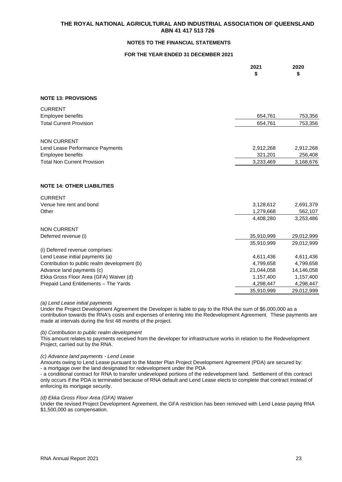## **NOTES TO THE FINANCIAL STATEMENTS**

## **FOR THE YEAR ENDED 31 DECEMBER 2021**

|                                              | 2021<br>\$ | 2020<br>\$ |
|----------------------------------------------|------------|------------|
| <b>NOTE 13: PROVISIONS</b>                   |            |            |
| <b>CURRENT</b>                               |            |            |
| Employee benefits                            | 654,761    | 753,356    |
| <b>Total Current Provision</b>               | 654,761    | 753,356    |
| <b>NON CURRENT</b>                           |            |            |
| Lend Lease Performance Payments              | 2,912,268  | 2,912,268  |
| Employee benefits                            | 321,201    | 256,408    |
| <b>Total Non Current Provision</b>           | 3,233,469  | 3,168,676  |
|                                              |            |            |
| <b>NOTE 14: OTHER LIABILITIES</b>            |            |            |
| <b>CURRENT</b>                               |            |            |
| Venue hire rent and bond                     | 3,128,612  | 2,691,379  |
| Other                                        | 1,279,668  | 562,107    |
|                                              | 4,408,280  | 3,253,486  |
| <b>NON CURRENT</b>                           |            |            |
| Deferred revenue (i)                         | 35,910,999 | 29,012,999 |
|                                              | 35,910,999 | 29,012,999 |
| (i) Deferred revenue comprises:              |            |            |
| Lend Lease initial payments (a)              | 4,611,436  | 4,611,436  |
| Contribution to public realm development (b) | 4,799,658  | 4,799,658  |
| Advance land payments (c)                    | 21,044,058 | 14,146,058 |
| Ekka Gross Floor Area (GFA) Waiver (d)       | 1,157,400  | 1,157,400  |
| Prepaid Land Entitlements - The Yards        | 4,298,447  | 4,298,447  |
|                                              | 35,910,999 | 29,012,999 |

#### *(a) Lend Lease initial payments*

Under the Project Development Agreement the Developer is liable to pay to the RNA the sum of \$6,000,000 as a contribution towards the RNA's costs and expenses of entering into the Redevelopment Agreement. These payments are made at intervals during the first 48 months of the project.

### *(b) Contribution to public realm development*

This amount relates to payments received from the developer for infrastructure works in relation to the Redevelopment Project, carried out by the RNA.

#### *(c) Advance land payments - Lend Lease*

Amounts owing to Lend Lease pursuant to the Master Plan Project Development Agreement (PDA) are secured by: - a mortgage over the land designated for redevelopment under the PDA

- a conditional contract for RNA to transfer undeveloped portions of the redevelopment land. Settlement of this contract only occurs if the PDA is terminated because of RNA default and Lend Lease elects to complete that contract instead of enforcing its mortgage security.

### *(d) Ekka Gross Floor Area (GFA) Waiver*

Under the revised Project Development Agreement, the GFA restriction has been removed with Lend Lease paying RNA \$1,500,000 as compensation.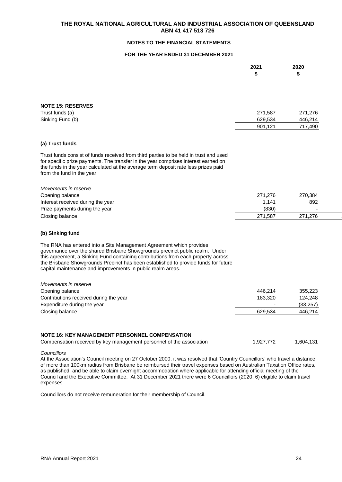## **NOTES TO THE FINANCIAL STATEMENTS**

## **FOR THE YEAR ENDED 31 DECEMBER 2021**

|                                                                                                                                                                                                                                                                                                                                                                                               | 2021<br>\$ | 2020<br>\$ |
|-----------------------------------------------------------------------------------------------------------------------------------------------------------------------------------------------------------------------------------------------------------------------------------------------------------------------------------------------------------------------------------------------|------------|------------|
|                                                                                                                                                                                                                                                                                                                                                                                               |            |            |
| <b>NOTE 15: RESERVES</b>                                                                                                                                                                                                                                                                                                                                                                      |            |            |
| Trust funds (a)                                                                                                                                                                                                                                                                                                                                                                               | 271,587    | 271,276    |
| Sinking Fund (b)                                                                                                                                                                                                                                                                                                                                                                              | 629,534    | 446,214    |
|                                                                                                                                                                                                                                                                                                                                                                                               | 901,121    | 717,490    |
| (a) Trust funds                                                                                                                                                                                                                                                                                                                                                                               |            |            |
| Trust funds consist of funds received from third parties to be held in trust and used<br>for specific prize payments. The transfer in the year comprises interest earned on<br>the funds in the year calculated at the average term deposit rate less prizes paid<br>from the fund in the year.                                                                                               |            |            |
| Movements in reserve                                                                                                                                                                                                                                                                                                                                                                          |            |            |
| Opening balance                                                                                                                                                                                                                                                                                                                                                                               | 271,276    | 270,384    |
| Interest received during the year                                                                                                                                                                                                                                                                                                                                                             | 1,141      | 892        |
| Prize payments during the year                                                                                                                                                                                                                                                                                                                                                                | (830)      |            |
| Closing balance                                                                                                                                                                                                                                                                                                                                                                               | 271,587    | 271,276    |
| (b) Sinking fund                                                                                                                                                                                                                                                                                                                                                                              |            |            |
| The RNA has entered into a Site Management Agreement which provides<br>governance over the shared Brisbane Showgrounds precinct public realm. Under<br>this agreement, a Sinking Fund containing contributions from each property across<br>the Brisbane Showgrounds Precinct has been established to provide funds for future<br>capital maintenance and improvements in public realm areas. |            |            |
| Movements in reserve                                                                                                                                                                                                                                                                                                                                                                          |            |            |
| Opening balance                                                                                                                                                                                                                                                                                                                                                                               | 446,214    | 355,223    |
| Contributions received during the year                                                                                                                                                                                                                                                                                                                                                        | 183,320    | 124,248    |
| Expenditure during the year                                                                                                                                                                                                                                                                                                                                                                   |            | (33, 257)  |
| Closing balance                                                                                                                                                                                                                                                                                                                                                                               | 629,534    | 446,214    |
| NOTE 16: KEY MANAGEMENT PERSONNEL COMPENSATION                                                                                                                                                                                                                                                                                                                                                |            |            |
| Compensation received by key management personnel of the association                                                                                                                                                                                                                                                                                                                          | 1,927,772  | 1,604,131  |
|                                                                                                                                                                                                                                                                                                                                                                                               |            |            |

*Councillors*

At the Association's Council meeting on 27 October 2000, it was resolved that 'Country Councillors' who travel a distance of more than 100km radius from Brisbane be reimbursed their travel expenses based on Australian Taxation Office rates, as published, and be able to claim overnight accommodation where applicable for attending official meeting of the Council and the Executive Committee. At 31 December 2021 there were 6 Councillors (2020: 6) eligible to claim travel expenses.

Councillors do not receive remuneration for their membership of Council.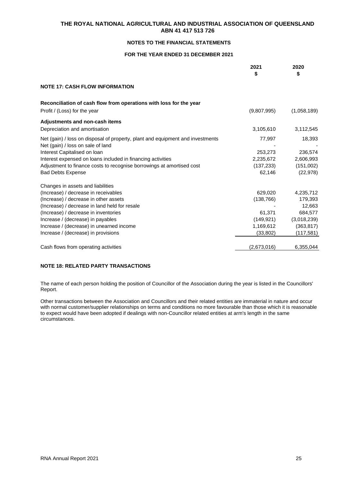## **NOTES TO THE FINANCIAL STATEMENTS**

## **FOR THE YEAR ENDED 31 DECEMBER 2021**

|                                                                                                                     | 2021<br>\$  | 2020<br>\$  |
|---------------------------------------------------------------------------------------------------------------------|-------------|-------------|
| <b>NOTE 17: CASH FLOW INFORMATION</b>                                                                               |             |             |
| Reconciliation of cash flow from operations with loss for the year                                                  |             |             |
| Profit / (Loss) for the year                                                                                        | (9,807,995) | (1,058,189) |
| Adjustments and non-cash items                                                                                      |             |             |
| Depreciation and amortisation                                                                                       | 3,105,610   | 3,112,545   |
| Net (gain) / loss on disposal of property, plant and equipment and investments<br>Net (gain) / loss on sale of land | 77,997      | 18,393      |
| Interest Capitalised on Ioan                                                                                        | 253,273     | 236,574     |
| Interest expensed on loans included in financing activities                                                         | 2,235,672   | 2,606,993   |
| Adjustment to finance costs to recognise borrowings at amortised cost                                               | (137, 233)  | (151,002)   |
| <b>Bad Debts Expense</b>                                                                                            | 62,146      | (22, 978)   |
| Changes in assets and liabilities                                                                                   |             |             |
| (Increase) / decrease in receivables                                                                                | 629,020     | 4,235,712   |
| (Increase) / decrease in other assets                                                                               | (138, 766)  | 179,393     |
| (Increase) / decrease in land held for resale                                                                       |             | 12,663      |
| (Increase) / decrease in inventories                                                                                | 61,371      | 684,577     |
| Increase / (decrease) in payables                                                                                   | (149, 921)  | (3,018,239) |
| Increase / (decrease) in unearned income                                                                            | 1,169,612   | (363, 817)  |
| Increase / (decrease) in provisions                                                                                 | (33, 802)   | (117,581)   |
| Cash flows from operating activities                                                                                | (2,673,016) | 6,355,044   |

## **NOTE 18: RELATED PARTY TRANSACTIONS**

The name of each person holding the position of Councillor of the Association during the year is listed in the Councillors' Report.

Other transactions between the Association and Councillors and their related entities are immaterial in nature and occur with normal customer/supplier relationships on terms and conditions no more favourable than those which it is reasonable to expect would have been adopted if dealings with non-Councillor related entities at arm's length in the same circumstances.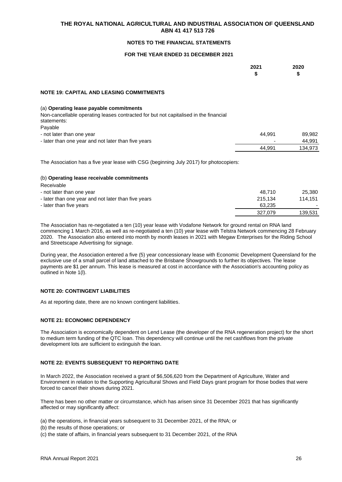## **NOTES TO THE FINANCIAL STATEMENTS**

### **FOR THE YEAR ENDED 31 DECEMBER 2021**

|                                                                                                                                 | 2021<br>\$ | 2020<br>\$ |
|---------------------------------------------------------------------------------------------------------------------------------|------------|------------|
| <b>NOTE 19: CAPITAL AND LEASING COMMITMENTS</b>                                                                                 |            |            |
| (a) Operating lease payable commitments<br>Non-cancellable operating leases contracted for but not capitalised in the financial |            |            |
| statements:<br>Payable                                                                                                          |            |            |
| - not later than one year                                                                                                       | 44.991     | 89,982     |
| - later than one year and not later than five years                                                                             |            | 44,991     |
|                                                                                                                                 | 44.991     | 134.973    |

The Association has a five year lease with CSG (beginning July 2017) for photocopiers:

### (b) **Operating lease receivable commitments**

| ,,,,,,,,,,,,                                        |         |                          |
|-----------------------------------------------------|---------|--------------------------|
| - not later than one year                           | 48.710  | 25,380                   |
| - later than one year and not later than five years | 215.134 | 114.151                  |
| - later than five years                             | 63.235  | $\overline{\phantom{a}}$ |
|                                                     | 327.079 | 139.531                  |
|                                                     |         |                          |

The Association has re-negotiated a ten (10) year lease with Vodafone Network for ground rental on RNA land commencing 1 March 2016, as well as re-negotiated a ten (10) year lease with Telstra Network commencing 28 February 2020. The Association also entered into month by month leases in 2021 with Megaw Enterprises for the Riding School and Streetscape Advertising for signage.

During year, the Association entered a five (5) year concessionary lease with Economic Development Queensland for the exclusive use of a small parcel of land attached to the Brisbane Showgrounds to further its objectives. The lease payments are \$1 per annum. This lease is measured at cost in accordance with the Association's accounting policy as outlined in Note 1(l).

## **NOTE 20: CONTINGENT LIABILITIES**

As at reporting date, there are no known contingent liabilities.

## **NOTE 21: ECONOMIC DEPENDENCY**

The Association is economically dependent on Lend Lease (the developer of the RNA regeneration project) for the short to medium term funding of the QTC loan. This dependency will continue until the net cashflows from the private development lots are sufficient to extinguish the loan.

### **NOTE 22: EVENTS SUBSEQUENT TO REPORTING DATE**

In March 2022, the Association received a grant of \$6,506,620 from the Department of Agriculture, Water and Environment in relation to the Supporting Agricultural Shows and Field Days grant program for those bodies that were forced to cancel their shows during 2021.

There has been no other matter or circumstance, which has arisen since 31 December 2021 that has significantly affected or may significantly affect:

(a) the operations, in financial years subsequent to 31 December 2021, of the RNA; or

(b) the results of those operations; or

(c) the state of affairs, in financial years subsequent to 31 December 2021, of the RNA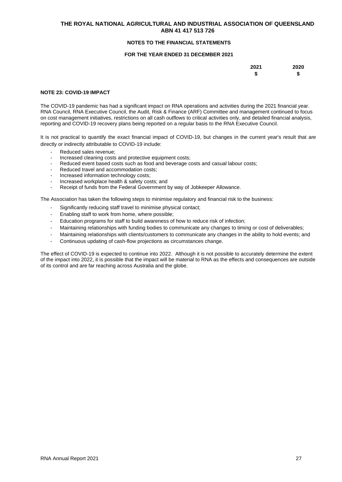### **NOTES TO THE FINANCIAL STATEMENTS**

### **FOR THE YEAR ENDED 31 DECEMBER 2021**

| 2021 | 2020 |
|------|------|
| \$   | S    |

### **NOTE 23: COVID-19 IMPACT**

The COVID-19 pandemic has had a significant impact on RNA operations and activities during the 2021 financial year. RNA Council, RNA Executive Council, the Audit, Risk & Finance (ARF) Committee and management continued to focus on cost management initiatives, restrictions on all cash outflows to critical activities only, and detailed financial analysis, reporting and COVID-19 recovery plans being reported on a regular basis to the RNA Executive Council.

It is not practical to quantify the exact financial impact of COVID-19, but changes in the current year's result that are directly or indirectly attributable to COVID-19 include:

- Reduced sales revenue:
- Increased cleaning costs and protective equipment costs;
- Reduced event based costs such as food and beverage costs and casual labour costs;
- Reduced travel and accommodation costs:
- Increased information technology costs;<br>- Increased workplace health & safety cos
- Increased workplace health & safety costs; and
- Receipt of funds from the Federal Government by way of Jobkeeper Allowance.

The Association has taken the following steps to minimise regulatory and financial risk to the business:

- Significantly reducing staff travel to minimise physical contact:
- Enabling staff to work from home, where possible;
- Education programs for staff to build awareness of how to reduce risk of infection;
- Maintaining relationships with funding bodies to communicate any changes to timing or cost of deliverables;
- Maintaining relationships with clients/customers to communicate any changes in the ability to hold events; and
- Continuous updating of cash-flow projections as circumstances change.

The effect of COVID-19 is expected to continue into 2022. Although it is not possible to accurately determine the extent of the impact into 2022, it is possible that the impact will be material to RNA as the effects and consequences are outside of its control and are far reaching across Australia and the globe.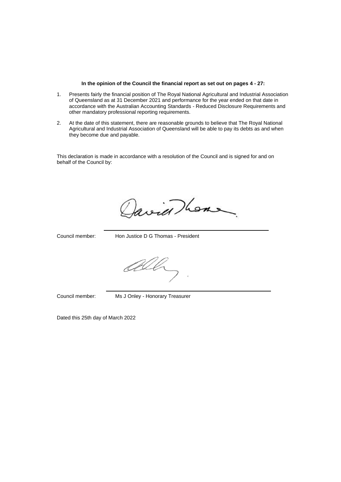#### **In the opinion of the Council the financial report as set out on pages 4 - 27:**

- 1. Presents fairly the financial position of The Royal National Agricultural and Industrial Association of Queensland as at 31 December 2021 and performance for the year ended on that date in accordance with the Australian Accounting Standards - Reduced Disclosure Requirements and other mandatory professional reporting requirements.
- 2. At the date of this statement, there are reasonable grounds to believe that The Royal National Agricultural and Industrial Association of Queensland will be able to pay its debts as and when they become due and payable.

This declaration is made in accordance with a resolution of the Council and is signed for and on behalf of the Council by:

Javier Thomas

Council member: Hon Justice D G Thomas - President

All

Council member: Ms J Onley - Honorary Treasurer

Dated this 25th day of March 2022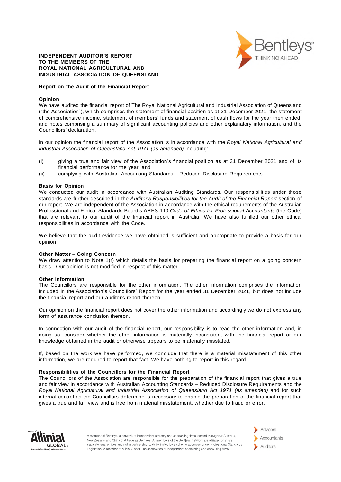

### INDEPENDENT AUDITOR'S REPORT **TO THE MEMBERS OF THE ROYAL NATIONAL AGRICULTURAL AND INDUSTRIAL ASSOCIATION OF QUEENSLAND**

#### **Report on the Audit of the Financial Report**

#### **Opinion**

We have audited the financial report of The Royal National Agricultural and Industrial Association of Queensland ("the Association"), which comprises the statement of financial position as at 31 December 2021, the statement of comprehensive income, statement of members' funds and statement of cash flows for the year then ended, and notes comprising a summary of significant accounting policies and other explanatory information, and the Councillors' declaration.

In our opinion the financial report of the Association is in accordance with the *Royal National Agricultural and Industrial Association of Queensland Act 1971 (as amended)* including:

- (i) giving a true and fair view of the Association's financial position as at 31 December 2021 and of its financial performance for the year; and
- (ii) complying with Australian Accounting Standards Reduced Disclosure Requirements.

#### **Basis for Opinion**

We conducted our audit in accordance with Australian Auditing Standards. Our responsibilities under those standards are further described in the Auditor's Responsibilities for the Audit of the Financial Report section of our report. We are independent of the Association in accordance with the ethical requirements of the Australian Professional and Ethical Standards Board's APES 110 *Code of Ethics for Professional Accountants* (the Code) that are relevant to our audit of the financial report in Australia. We have also fulfilled our other ethical responsibilities in accordance with the Code.

We believe that the audit evidence we have obtained is sufficient and appropriate to provide a basis for our opinion.

#### **Other Matter** – **Going Concern**

We draw attention to Note 1(r) which details the basis for preparing the financial report on a going concern basis. Our opinion is not modified in respect of this matter.

#### **Other Information**

The Councillors are responsible for the other information. The other information comprises the information included in the Association's Councillors' Report for the year ended 31 December 2021, but does not include the financial report and our auditor's report thereon.

Our opinion on the financial report does not cover the other information and accordingly we do not express any form of assurance conclusion thereon.

In connection with our audit of the financial report, our responsibility is to read the other information and, in doing so, consider whether the other information is materially inconsistent with the financial report or our knowledge obtained in the audit or otherwise appears to be materially misstated.

If, based on the work we have performed, we conclude that there is a material misstatement of this other information, we are required to report that fact. We have nothing to report in this regard.

#### **Responsibilities of the Councillors for the Financial Report**

The Councillors of the Association are responsible for the preparation of the financial report that gives a true and fair view in accordance with Australian Accounting Standards – Reduced Disclosure Requirements and the *Royal National Agricultural and Industrial Association of Queensland Act 1971 (as amended)* and for such internal control as the Councillors determine is necessary to enable the preparation of the financial report that gives a true and fair view and is free from material misstatement, whether due to fraud or error.



A member of Bentleys, a network of independent advisory and accounting firms located throughout Australia, New Zealand and China that trade as Bentleys. All members of the Bentleys Network are affiliated only, are separate legal entities and not in partnership. Liability limited by a scheme approved under Professional Standards Legislation, A member of Allinial Global - an association of independent accounting and consulting firms.